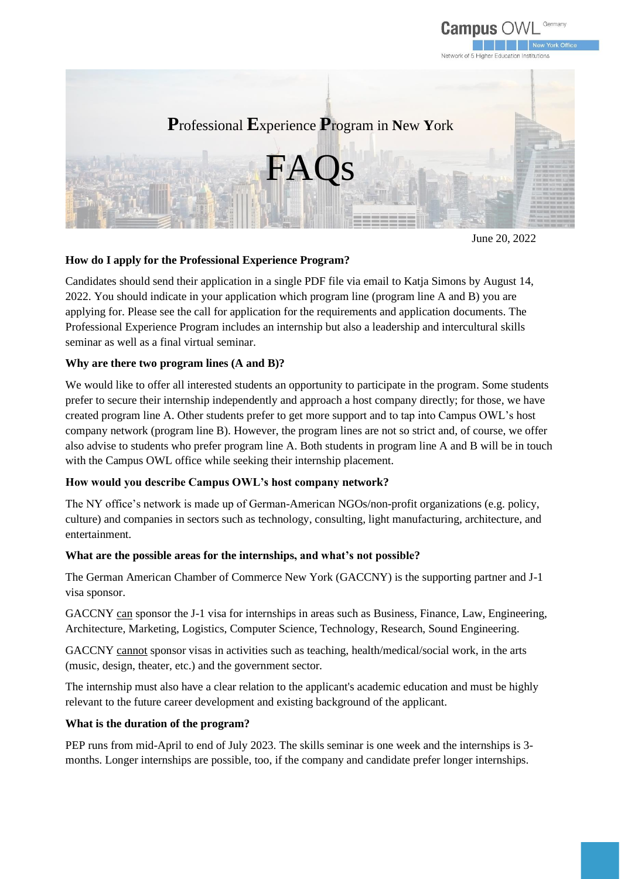

June 20, 2022

# **How do I apply for the Professional Experience Program?**

Candidates should send their application in a single PDF file via email to Katja Simons by August 14, 2022. You should indicate in your application which program line (program line A and B) you are applying for. Please see the call for application for the requirements and application documents. The Professional Experience Program includes an internship but also a leadership and intercultural skills seminar as well as a final virtual seminar.

# **Why are there two program lines (A and B)?**

We would like to offer all interested students an opportunity to participate in the program. Some students prefer to secure their internship independently and approach a host company directly; for those, we have created program line A. Other students prefer to get more support and to tap into Campus OWL's host company network (program line B). However, the program lines are not so strict and, of course, we offer also advise to students who prefer program line A. Both students in program line A and B will be in touch with the Campus OWL office while seeking their internship placement.

# **How would you describe Campus OWL's host company network?**

The NY office's network is made up of German-American NGOs/non-profit organizations (e.g. policy, culture) and companies in sectors such as technology, consulting, light manufacturing, architecture, and entertainment.

#### **What are the possible areas for the internships, and what's not possible?**

The German American Chamber of Commerce New York (GACCNY) is the supporting partner and J-1 visa sponsor.

GACCNY can sponsor the J-1 visa for internships in areas such as Business, Finance, Law, Engineering, Architecture, Marketing, Logistics, Computer Science, Technology, Research, Sound Engineering.

GACCNY cannot sponsor visas in activities such as teaching, health/medical/social work, in the arts (music, design, theater, etc.) and the government sector.

The internship must also have a clear relation to the applicant's academic education and must be highly relevant to the future career development and existing background of the applicant.

# **What is the duration of the program?**

PEP runs from mid-April to end of July 2023. The skills seminar is one week and the internships is 3 months. Longer internships are possible, too, if the company and candidate prefer longer internships.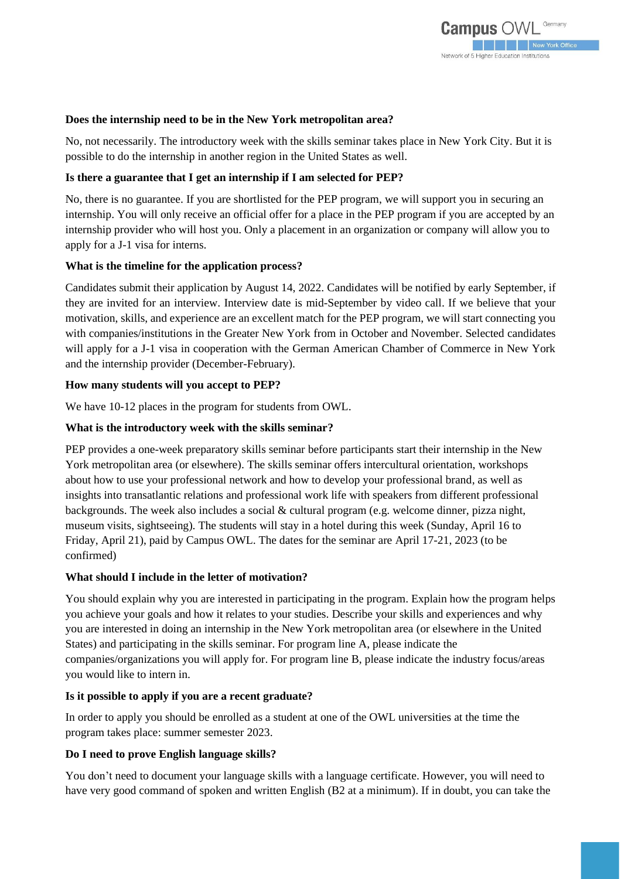## **Does the internship need to be in the New York metropolitan area?**

No, not necessarily. The introductory week with the skills seminar takes place in New York City. But it is possible to do the internship in another region in the United States as well.

## **Is there a guarantee that I get an internship if I am selected for PEP?**

No, there is no guarantee. If you are shortlisted for the PEP program, we will support you in securing an internship. You will only receive an official offer for a place in the PEP program if you are accepted by an internship provider who will host you. Only a placement in an organization or company will allow you to apply for a J-1 visa for interns.

## **What is the timeline for the application process?**

Candidates submit their application by August 14, 2022. Candidates will be notified by early September, if they are invited for an interview. Interview date is mid-September by video call. If we believe that your motivation, skills, and experience are an excellent match for the PEP program, we will start connecting you with companies/institutions in the Greater New York from in October and November. Selected candidates will apply for a J-1 visa in cooperation with the German American Chamber of Commerce in New York and the internship provider (December-February).

## **How many students will you accept to PEP?**

We have 10-12 places in the program for students from OWL.

## **What is the introductory week with the skills seminar?**

PEP provides a one-week preparatory skills seminar before participants start their internship in the New York metropolitan area (or elsewhere). The skills seminar offers intercultural orientation, workshops about how to use your professional network and how to develop your professional brand, as well as insights into transatlantic relations and professional work life with speakers from different professional backgrounds. The week also includes a social  $\&$  cultural program (e.g. welcome dinner, pizza night, museum visits, sightseeing). The students will stay in a hotel during this week (Sunday, April 16 to Friday, April 21), paid by Campus OWL. The dates for the seminar are April 17-21, 2023 (to be confirmed)

#### **What should I include in the letter of motivation?**

You should explain why you are interested in participating in the program. Explain how the program helps you achieve your goals and how it relates to your studies. Describe your skills and experiences and why you are interested in doing an internship in the New York metropolitan area (or elsewhere in the United States) and participating in the skills seminar. For program line A, please indicate the companies/organizations you will apply for. For program line B, please indicate the industry focus/areas you would like to intern in.

#### **Is it possible to apply if you are a recent graduate?**

In order to apply you should be enrolled as a student at one of the OWL universities at the time the program takes place: summer semester 2023.

# **Do I need to prove English language skills?**

You don't need to document your language skills with a language certificate. However, you will need to have very good command of spoken and written English (B2 at a minimum). If in doubt, you can take the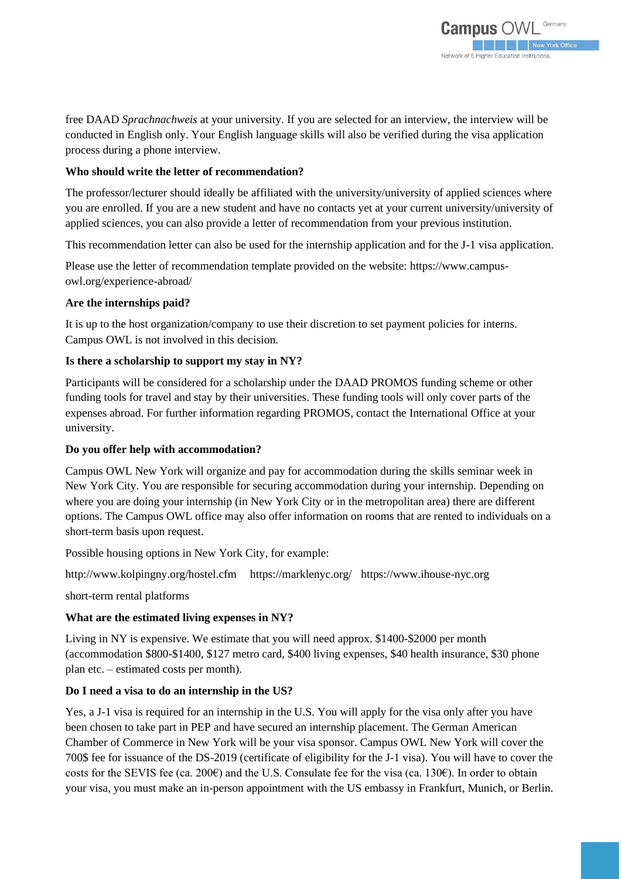free DAAD *Sprachnachweis* at your university. If you are selected for an interview, the interview will be conducted in English only. Your English language skills will also be verified during the visa application process during a phone interview.

## **Who should write the letter of recommendation?**

The professor/lecturer should ideally be affiliated with the university/university of applied sciences where you are enrolled. If you are a new student and have no contacts yet at your current university/university of applied sciences, you can also provide a letter of recommendation from your previous institution.

This recommendation letter can also be used for the internship application and for the J-1 visa application.

Please use the letter of recommendation template provided on the website: https://www.campusowl.org/experience-abroad/

#### **Are the internships paid?**

It is up to the host organization/company to use their discretion to set payment policies for interns. Campus OWL is not involved in this decision.

## **Is there a scholarship to support my stay in NY?**

Participants will be considered for a scholarship under the DAAD PROMOS funding scheme or other funding tools for travel and stay by their universities. These funding tools will only cover parts of the expenses abroad. For further information regarding PROMOS, contact the International Office at your university.

#### **Do you offer help with accommodation?**

Campus OWL New York will organize and pay for accommodation during the skills seminar week in New York City. You are responsible for securing accommodation during your internship. Depending on where you are doing your internship (in New York City or in the metropolitan area) there are different options. The Campus OWL office may also offer information on rooms that are rented to individuals on a short-term basis upon request.

Possible housing options in New York City, for example:

http://www.kolpingny.org/hostel.cfm https://marklenyc.org/ [https://www.ihouse-nyc.org](https://www.ihouse-nyc.org/)

short-term rental platforms

#### **What are the estimated living expenses in NY?**

Living in NY is expensive. We estimate that you will need approx. \$1400-\$2000 per month (accommodation \$800-\$1400, \$127 metro card, \$400 living expenses, \$40 health insurance, \$30 phone plan etc. – estimated costs per month).

#### **Do I need a visa to do an internship in the US?**

Yes, a J-1 visa is required for an internship in the U.S. You will apply for the visa only after you have been chosen to take part in PEP and have secured an internship placement. The German American Chamber of Commerce in New York will be your visa sponsor. Campus OWL New York will cover the 700\$ fee for issuance of the DS-2019 (certificate of eligibility for the J-1 visa). You will have to cover the costs for the SEVIS fee (ca. 200 $\epsilon$ ) and the U.S. Consulate fee for the visa (ca. 130 $\epsilon$ ). In order to obtain your visa, you must make an in-person appointment with the US embassy in Frankfurt, Munich, or Berlin.